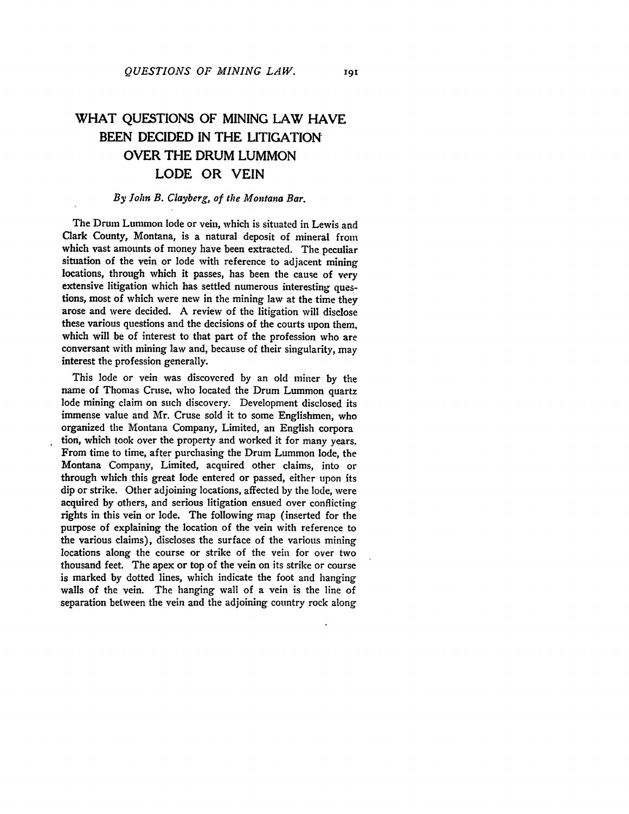# **WHAT QUESTIONS OF MINING LAW HAVE BEEN DECIDED IN THE LITIGATION OVER THE DRUM LUMMON LODE OR VEIN**

### *By John B. Clayberg, of the Montana Bar.*

The Drum Lummon lode or vein, which is situated in Lewis and Clark County, Montana, is a natural deposit of mineral from which vast amounts of money have been extracted. The peculiar situation of the vein or lode with reference to adjacent mining locations, through which it passes, has been the cause of very extensive litigation which has settled numerous interesting questions, most of which were new in the mining law at the time they arose and were decided. **A** review of the litigation will disclose these various questions and the decisions of the courts upon them, which will be of interest to that part of the profession who are conversant with mining law and, because of their singularity, may interest the profession generally.

This lode or vein was discovered **by** an old miner **by** the name of Thomas Cruse, who located the Drum Lummon quartz lode mining claim on such discovery. Development disclosed its immense value and Mr. Cruse sold it to some Englishmen, who organized the Montana Company, Limited, an English corpora tion, which took over the property and worked it for many years. From time to time, after purchasing the Drum Lummon lode, the Montana Company, Limited, acquired other claims, into or through which this great lode entered or passed, either upon its dip or strike. Other adjoining locations, affected **by** the lode, were acquired **by** others, and serious litigation ensued over conflicting rights in this vein or lode. The following map (inserted for the purpose of explaining the location of the vein with reference to the various claims), discloses the surface of the various mining locations along the course or strike of the vein for over two thousand feet. The apex or top of the vein on its strike or course is marked **by** dotted lines, which indicate the foot and hanging walls of the vein. The hanging wall of a vein is the line of separation between the vein and the adjoining country rock along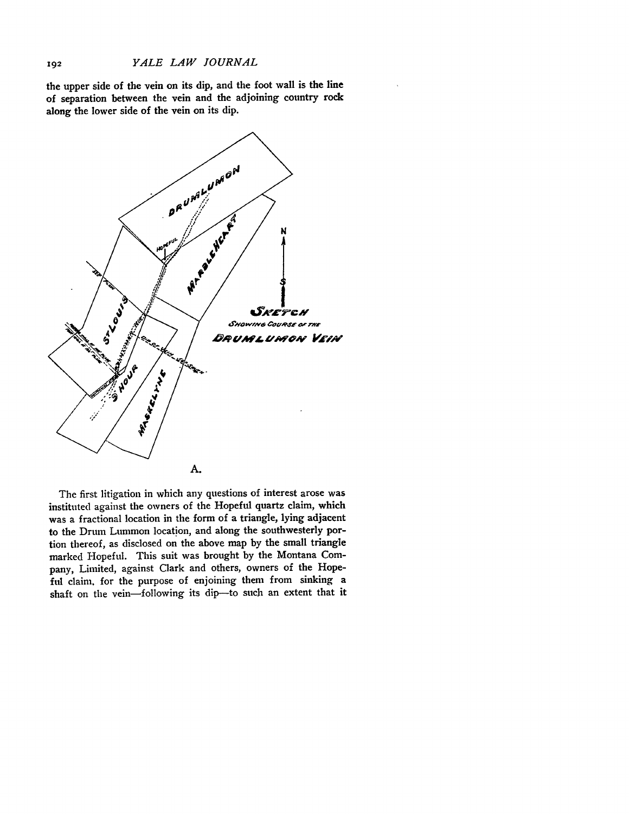the upper side of the vein on its dip, and the foot wall is the line of separation between the vein and the adjoining country rock along the lower side of the vein on its dip.



The first litigation in which any questions of interest arose was instituted against the owners of the Hopeful quartz claim, which was a fractional location in the form of a triangle, lying adjacent to the Drum Lummon location, and along the southwesterly portion thereof, as disclosed on the above map **by** the small triangle marked Hopeful. This suit was brought **by** the Montana Company, Limited, against Clark and others, owners of the Hopeful claim, for the purpose of enjoining them from sinking a shaft on the vein-following its dip-to such an extent that it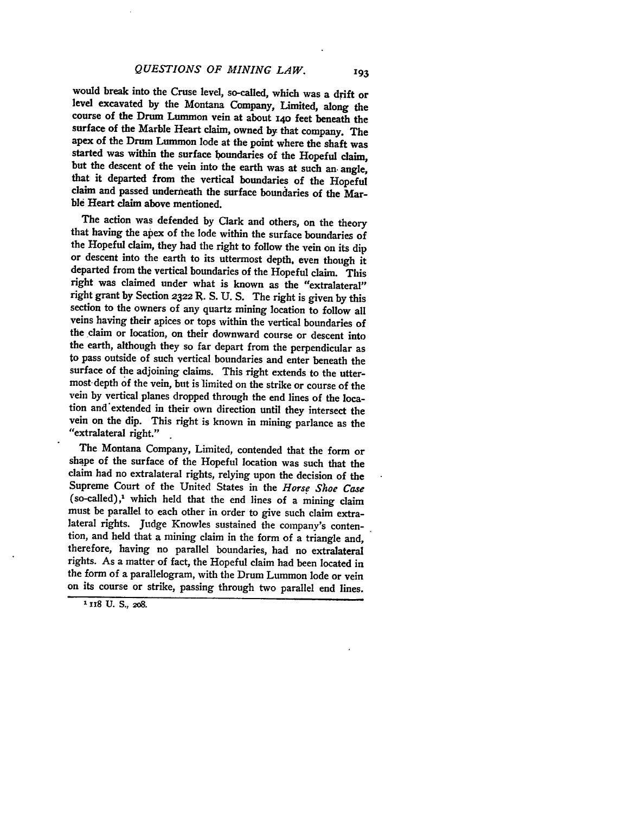would break into the Cruse level, so-called, which was a drift or level excavated **by** the Montana Company, Limited, along the course of the Drum Lummon vein at about **i4o** feet beneath the surface of the Marble Heart claim, owned **by** that company. The apex of the Drum Lummon lode at the point where the shaft was started was within the surface boundaries of the Hopeful claim, but the descent of the vein into the earth was at such **an.** angle, that it departed from the vertical boundaries of the Hopeful claim and passed underneath the surface boundaries of the Mar**ble** Heart claim above mentioned.

The action was defended **by** Clark and others, on the theory that having the apex of the lode within the surface boundaries of the Hopeful claim, they had the right to follow the vein on its dip or descent into the earth to its uttermost depth, even though it departed from the vertical boundaries of the Hopeful claim. This right was claimed under what is known as the "extralateral" right grant **by** Section **2322** R. **S. U. S.** The right is given **by** this section to the owners of any quartz mining location to follow all veins having their apices or tops within the vertical boundaries of the claim or location, on their downward course or descent into the earth, although they so far depart from the perpendicular as to pass outside of such vertical boundaries and enter beneath the surface of the adjoining claims. This right extends to the uttermost depth of the vein, but is limited on the strike or course of the vein **by** vertical planes dropped through the end lines of the location and'extended in their **own** direction until they intersect the vein on the dip. This right is known in mining parlance as the "extralateral right."

The Montana Company, Limited, contended that the form or shape of the surface of the Hopeful location was such that the claim had no extralateral rights, relying upon the decision of the Supreme Court of the United States in the *Horse Shoe Case*  $(so-called),<sup>1</sup>$  which held that the end lines of a mining claim must be parallel to each other in order to give such claim extralateral rights. Judge Knowles sustained the company's contention, and held that a mining claim in the form of a triangle and, therefore, having no parallel boundaries, had no extralateral rights. As a matter of fact, the Hopeful claim had been located in the form of a parallelogram, with the Drum Lummon lode or vein on its course or strike, passing through two parallel end lines.

**I xi8 U. S., 2o8.**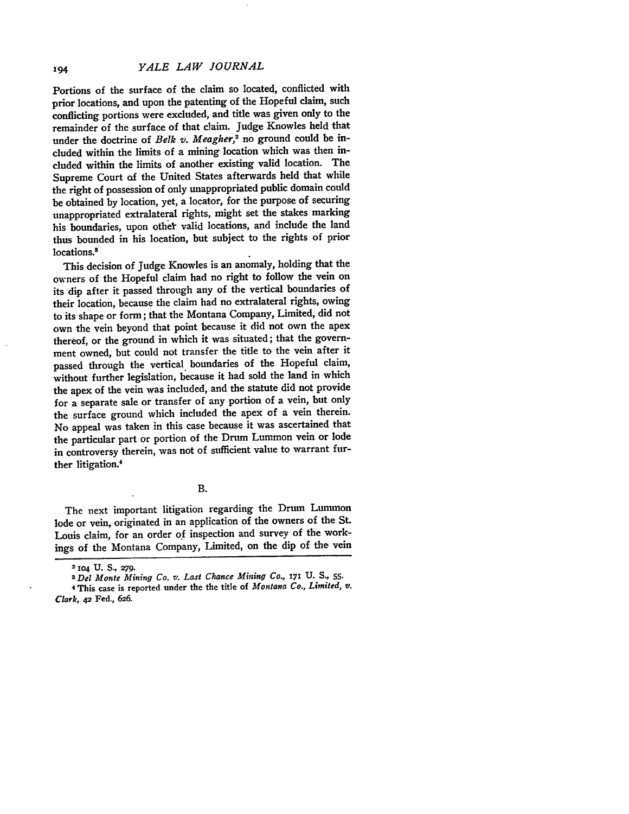Portions of the surface of the claim so located, conflicted with prior locations, and upon the patenting of the Hopeful claim, such conflicting portions were excluded, and title was given only to the remainder of the surface of that claim. Judge Knowles held that under the doctrine of *Belk v. Meagher*,<sup>2</sup> no ground could be included within the limits of a mining location which was then included within the limits of another existing valid location. The Supreme Court **of** the United States afterwards held that while the right of possession of only unappropriated public domain could be obtained **by** location, yet, a locator, for the purpose of securing unappropriated extralateral rights, might set the stakes marking his boundaries, upon other valid locations, and include the land thus bounded in his location, but subject to the rights of prior locations.<sup>3</sup>

This decision of Judge Knowles is an anomaly, holding that the owners of the Hopeful claim had no right to follow the vein on its dip after it passed through any of the vertical boundaries of their location, because the claim had no extralateral rights, owing to its shape or form; that the Montana Company, Limited, did not own the vein beyond that point because it did not own the apex thereof, or the ground in which it was situated; that the government owned, but could not transfer the title to the vein after it passed through the vertical boundaries of the Hopeful claim, without further legislation, because it had sold the land in which the apex of the vein was included, and the statute did not provide for a separate sale or transfer of any portion of a vein, but only the surface ground which included the apex of a vein therein. No appeal was taken in this case because it was ascertained that the particular part or portion of the Drum Lummon vein or lode in controversy therein, was not of sufficient value to warrant further litigation.4

## B.

The next important litigation regarding the Drum Lummon lode or vein, originated in an application of the owners of the St. Louis claim, for an order of inspection and survey of the workings of the Montana Company, Limited, on the dip of the vein

194

**<sup>210</sup>o4 U.** *S., 279.*

**<sup>3</sup>** *Del Monte Mining Co. v. Last Chance Mining Co.,* **171 U. S., 55. 4** This case is reported under the the title of *Montana Co., Limited, v.*

*Clark, 42* Fed., 626.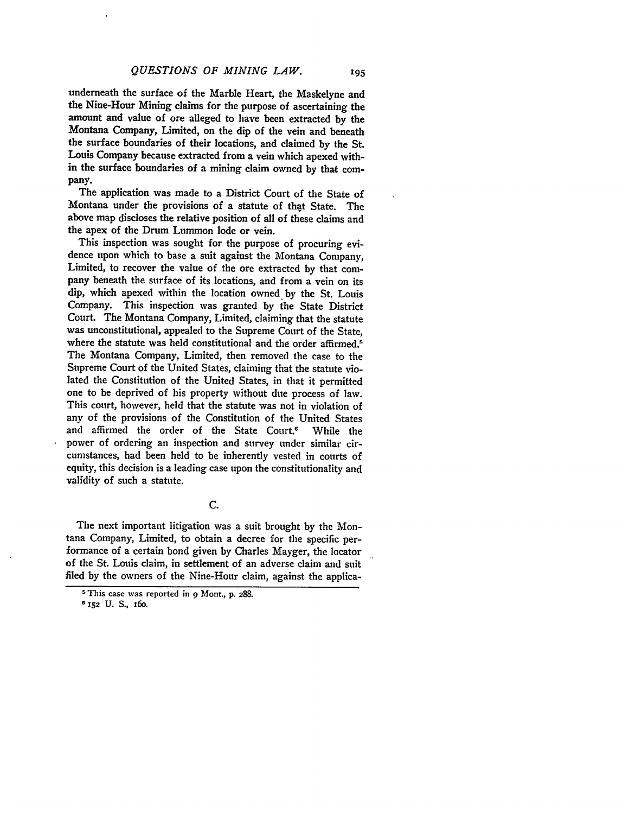195

underneath the surface of the Marble Heart, the Maskelyne and the Nine-Hour Mining claims for the purpose of ascertaining the amount and value of ore alleged to have been extracted **by** the Montana Company, Limited, on the dip of the vein and beneath the surface boundaries of their locations, and claimed **by** the St. Louis Company because extracted from a vein which apexed within the surface boundaries of a mining claim owned **by** that company.

The application was made to a District Court of the State of Montana under the provisions of a statute of that State. The above map discloses the relative position of all of these claims and the apex of the Drum Lummon lode or vein.

This inspection was sought for the purpose of procuring evidence upon which to base a suit against the Montana Company, Limited, to recover the value of the ore extracted **by** that company beneath the surface of its locations, and from a vein on its dip, which apexed within the location owned. **by** the St. Louis Company. This inspection was granted **by** the State District Court. The Montana Company, Limited, claiming that the statute was unconstitutional, appealed to the Supreme Court of the State, where the statute was held constitutional and the order affirmed.<sup>5</sup> The Montana Company, Limited, then removed the case to the Supreme Court of the United States, claiming that the statute violated the Constitution of the United States, in that it permitted one to be deprived of his property without due process of law. This court, however, held that the statute was not in violation of any of the provisions of the Constitution of the United States and affirmed the order of the State Court.<sup>6</sup> While the power of ordering an inspection and survey under similar circumstances, had been held to be inherently vested in courts of equity, this decision is a leading case upon the constitutionality and validity of such a statute.

# **C.**

The next important litigation was a suit brought **by** the Montana Company, Limited, to obtain a decree for the specific performance of a certain bond given **by** Charles Mayger, the locator of the St. Louis claim, in settlement of an adverse claim and suit filed **by** the owners of the Nine-Hour claim, against the applica-

**<sup>5</sup>** This case was reported in **9** Mont., p. **288.**

**a 152 U. S.,** i6o.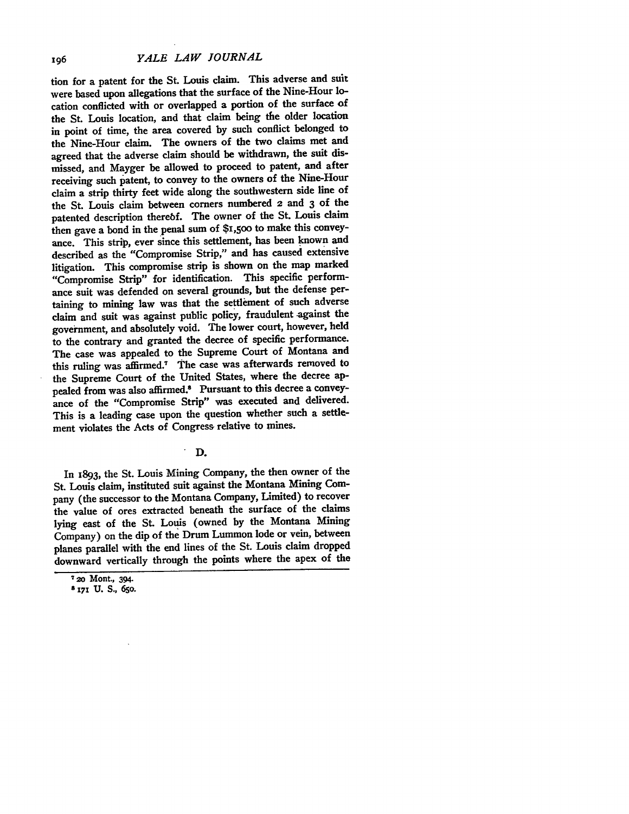*YALE LAW JOURNAL*

tion for a patent for the St. Louis claim. This adverse and suit were based upon allegations that the surface of the Nine-Hour **lo**cation conflicted with or overlapped a portion of the surface **of** the St. Louis location, and that claim being **the** older location in point of time, the area covered **by** such conflict belonged to the Nine-Hour claim. The owners of the two claims met and agreed that the adverse claim should be withdrawn, the suit dismissed, and Mayger be allowed to proceed to patent, and after receiving such patent, to convey to the owners of the Nine-Hour claim a strip thirty feet wide along the southwestern side line of the St. Louis claim between corners numbered **2** and **3** of the patented description therebf. The owner of the St. Louis claim then gave a bond in the penal sum of **\$i,5oo** to make this conveyance. This strip, ever since this settlement, has been known and described as the "Compromise Strip," and has caused extensive litigation. This compromise strip is shown on the map marked "Compromise Strip" for identification. This specific performance suit was defended on several grounds, but the defense pertaining to mining law was that the settlement of such adverse claim and suit was against public policy, fraudulent \_against the government, and absolutely void. The lower court, however, held to the contrary and granted the decree of specific performance. The case was appealed to the Supreme Court of Montana and this ruling was affirmed.' The case was afterwards removed to the Supreme Court of the United States, where the decree appealed from was also affirmed.<sup>8</sup> Pursuant to this decree a conveyance of the "Compromise Strip" was executed and delivered. This is a leading case upon the question whether such a settlement violates the Acts of Congress relative to mines.

#### **D.**

In 1893, the St. Louis Mining Company, the then owner of the St. Louis claim, instituted suit against the Montana Mining Company (the successor to the Montana Company, Limited) to recover the value of ores extracted beneath the surface of the claims lying east of the St. Louis (owned **by** the Montana Mining Company) on the dip of the Drum Lummon lode or vein, between planes parallel with the end lines of the St. Louis claim dropped downward vertically through the points where the apex of the

196

*<sup>2</sup>o* Mont., **394.**

**s171 U. S., 650.**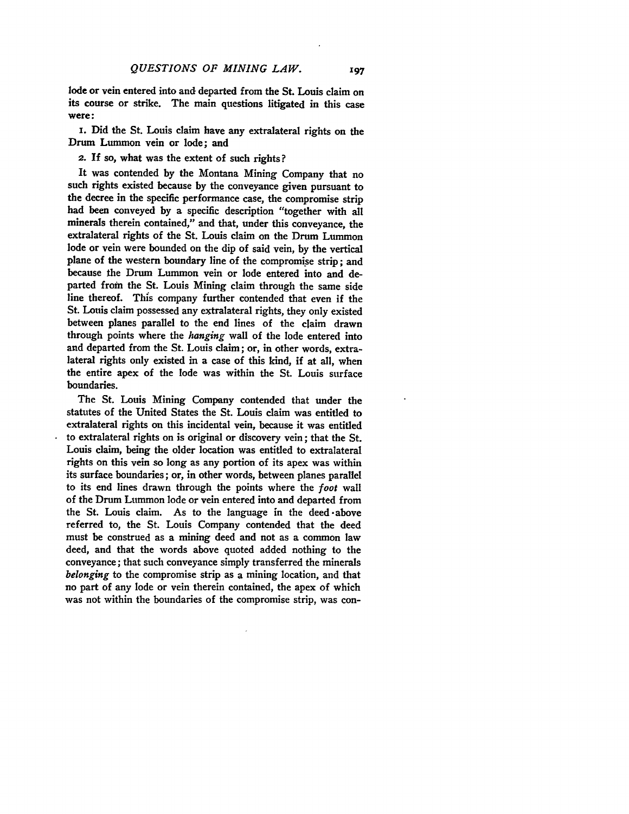lode or vein entered into and departed from the St. Louis claim on its course or strike. The main questions litigated in this case were:

i. Did the St. Louis claim have any extralateral rights on the Drum Lummon vein or lode; and

2. If so, what was the extent of such rights?

It was contended **by** the Montana Mining Company that no such rights existed because **by** the conveyance given pursuant to the decree in the specific performance case, the compromise strip had been conveyed **by** a specific description "together with all minerals therein contained," and that, under this conveyance, the extralateral rights of the St. Louis claim on the Drum Lummon lode or vein were bounded on the dip of said vein, by the vertical plane of the western boundary line of the compromise strip; and because the Drum Lummon vein or lode entered into and departed from the St. Louis Mining claim through the same side line thereof. This company further contended that even if the St. Louis claim possessed any extralateral rights, they only existed between planes parallel to the end lines of the claim drawn through points where the *hanging* wall of the lode entered into and departed from the St. Louis claim; or, in other words, extralateral rights only existed in a case of this kind, if at all, when the entire apex of the lode was within the St. Louis surface boundaries.

The St. Louis Mining Company contended that under the statutes of the United States the St. Louis claim was entitled to extralateral rights **on** this incidental vein, because it was entitled to extralateral rights on is original or discovery vein; that the St. Louis claim, being the older location was entitled to extralateral rights on this vein so long as any portion of its apex was within its surface boundaries; or, in other words, between planes parallel to its end lines drawn through the points where the foot wall of the Drum Lummon lode or vein entered into and departed from the St. Louis claim. As to the language in the deed above referred to, the St. Louis Company contended that the deed must be construed as a mining deed and not as a common law deed, and that the words above quoted added nothing to the conveyance; that such conveyance simply transferred the minerals *belonging* to the compromise strip as a mining location, and that no part of any lode or vein therein contained, the apex of which was not within the boundaries of the compromise strip, was con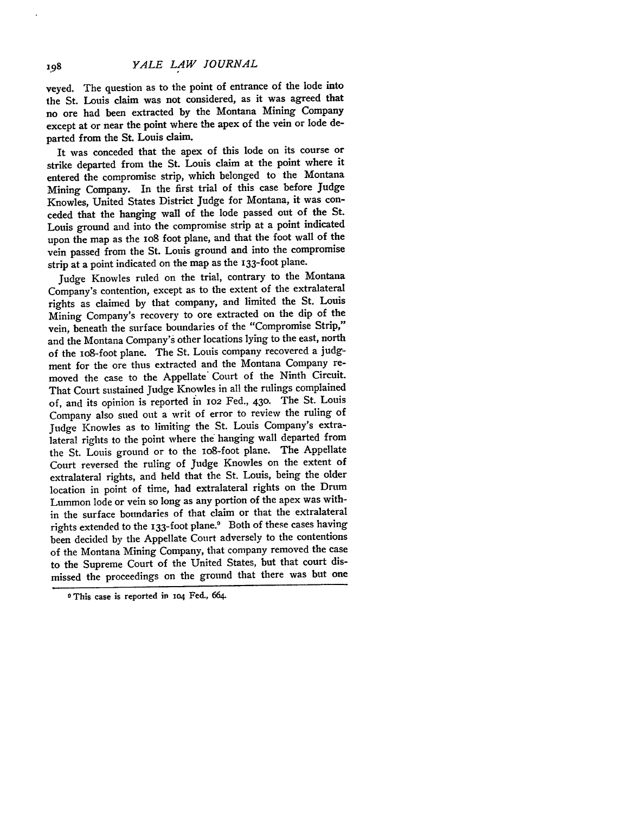*YALE LAW JOURNAL*

veyed. The question as to the point of entrance of the lode into the St. Louis claim was not considered, as it was agreed that no ore had been extracted **by** the Montana Mining Company except at or near the point where the apex of the vein or lode departed from the St. Louis claim.

It was conceded that the apex of this lode on its course or strike departed from the St. Louis claim at the point where it entered the compromise strip, which belonged to the Montana Mining Company. In the first trial of this case before Judge Knowles, United States District Judge for Montana, it was conceded that the hanging wall of the lode passed out of the St. Louis ground and into the compromise strip at a point indicated upon the map as the io8 foot plane, and that the foot wall of the vein passed from the St. Louis ground and into the compromise strip at a point indicated on the map as the 133-foot plane.

Judge Knowles ruled on the trial, contrary to the Montana Company's contention, except as to the extent of the extralateral rights as claimed **by** that company, and limited the St. Louis Mining Company's recovery to ore extracted on the dip of the vein, beneath the surface boundaries of the "Compromise Strip," and the Montana Company's other locations lying to the east, north of the io8-foot plane. The St. Louis company recovered a **judg**ment for the ore thus extracted and the Montana Company removed the case to the Appellate' Court of the Ninth Circuit. That Court sustained Judge Knowles in all the rulings complained of, and its opinion is reported in **102 Fed., 430.** The St. Louis Company also sued out a writ of error to review the ruling of Judge Knowles as to limiting the St. Louis Company's extralateral rights to the point where the hanging wall departed from the St. Louis ground or to the io8-foot plane. The Appellate Court reversed the ruling of Judge Knowles on the extent of extralateral rights, and held that the St. Louis, being the older location in point of time, had extralateral rights on the Drum Lummon lode or vein so long as any portion of the apex was within the surface boundaries of that claim or that the extralateral rights extended to the 133-foot plane.<sup>9</sup> Both of these cases having been decided **by** the Appellate Court adversely to the contentions of the Montana Mining Company, that company removed the case to the Supreme Court of the United States, but that court dismissed the proceedings on the ground that there was but one

198

<sup>&</sup>lt;sup>9</sup> This case is reported in 104 Fed., 664.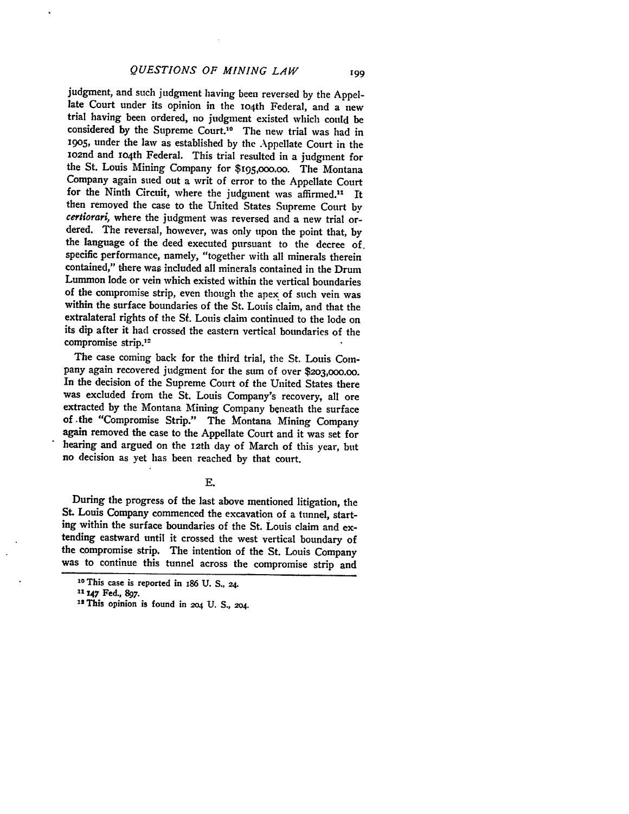judgment, and such judgment having been reversed by the Appel- late Court under its opinion in the **io4th** Federal, and a new trial having been ordered, no judgment existed which could be considered by the Supreme Court.<sup>10</sup> The new trial was had in **19o5,** under the law as established **by** the Appellate Court in the 102nd and io4th Federal. This trial resulted in a judgment for the St. Louis Mining Company for \$195,ooo.oo. The Montana Company again stied out a writ of error to the Appellate Court for the Ninth Circuit, where the judgment was affirmed.<sup>11</sup> It then removed the case to the United States Supreme Court by *certiorari*, where the judgment was reversed and a new trial or-<br>dered. The reversal, however, was only upon the point that, by the language of the deed executed pursuant to the decree of. specific performance, namely, "together with all minerals therein contained," there was included all minerals contained in the Drum Lummon lode or vein which existed within the vertical boundaries of the compromise strip, even though the apex of such vein was within the surface boundaries of the St. Louis claim, and that the extralateral rights of the **SL** Louis claim continued to the lode on its dip after it had crossed the eastern vertical boundaries of the compromise strip.<sup>12</sup>

The case coming back for the third trial, the St. Louis Company again recovered judgment for the sum of over \$2o3,ooo.oo. In the decision of the Supreme Court of the United States there was excluded from the St. Louis Company's recovery, all ore extracted by the Montana Mining Company beneath the surface of the "Compromise Strip." The Montana Mining Company again removed the case to the Appellate Court and it was set for hearing and argued on the **12th** day of March of this year, but no decision as yet has been reached **by** that court.

### **E.**

During the progress of the last above mentioned litigation, the **St.** Louis Company commenced the excavation of a tunnel, starting within the surface boundaries of the St. Louis claim and extending eastward until it crossed the west vertical boundary of the compromise strip. The intention of the St. Louis Company was to continue this tunnel across the compromise strip and

**<sup>10</sup>**This case is reported in **i86 U. S., 24.**

<sup>&#</sup>x27;1 **147** Fed., **897.**

**<sup>12</sup>** This opinion is found in **2o4 U. S., 204.**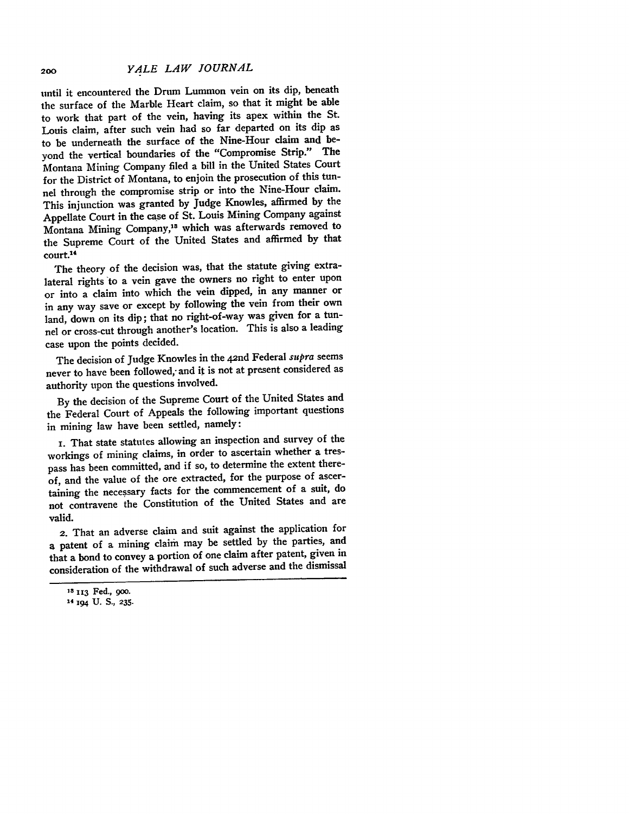**200** *YALE LAW JOURNAL*

until it encountered the Drum Lummon vein on its dip, beneath the surface of the Marble Heart claim, so that it might be able to work that part of the vein, having its apex within the St. Louis claim, after such vein had so far departed on its dip as to be underneath the surface of the Nine-Hour claim and beyond the vertical boundaries of the "Compromise Strip." The Montana Mining Company filed a bill in the United States Court for the District of Montana, to enjoin the prosecution of this tunnel through the compromise strip or into the Nine-Hour claim. This injunction was granted **by** Judge Knowles, affirmed **by** the Appellate Court in the case of St. Louis Mining Company against Montana Mining Company,18 which was afterwards removed to the Supreme Court of the United States and affirmed **by** that court.14

The theory of the decision was, that the statute giving extralateral rights to a vein gave the owners no right to enter upon or into a claim into which the vein dipped, in any manner or in any way save or except **by** following the vein from their own land, down on its dip; that no right-of-way was given for a tunnel or cross-cut through another's location. This is also a leading case upon the points decided.

The decision of Judge Knowles in the 42nd Federal *supra* seems never to have been followed, and it is not at present considered as authority upon the questions involved.

**By** the decision of the Supreme Court of the United States and the Federal Court of Appeals the following important questions in mining law have been settled, namely:

i. That state statutes allowing an inspection and survey of the workings of mining claims, in order to ascertain whether a trespass has been committed, and if so, to determine the extent thereof, and the value of the ore extracted, for the purpose of ascertaining the necessary facts for the commencement of a suit, do not contravene the Constitution of the United States and are valid.

2. That an adverse claim and suit against the application for a patent of a mining claim may be settled **by** the parties, and that a bond to convey a portion of one claim after patent, given in consideration of the withdrawal of such adverse and the dismissal

**<sup>&#</sup>x27;s 113** Fed., goo.

<sup>219</sup> **4 U. S., 235.**